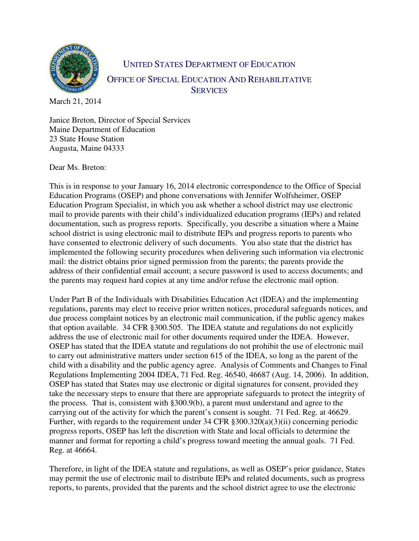

UNITED STATES DEPARTMENT OF EDUCATION OFFICE OF SPECIAL EDUCATION AND REHABILITATIVE **SERVICES** 

March 21, 2014

Janice Breton, Director of Special Services Maine Department of Education 23 State House Station Augusta, Maine 04333

Dear Ms. Breton:

This is in response to your January 16, 2014 electronic correspondence to the Office of Special Education Programs (OSEP) and phone conversations with Jennifer Wolfsheimer, OSEP Education Program Specialist, in which you ask whether a school district may use electronic mail to provide parents with their child's individualized education programs (IEPs) and related documentation, such as progress reports. Specifically, you describe a situation where a Maine school district is using electronic mail to distribute IEPs and progress reports to parents who have consented to electronic delivery of such documents. You also state that the district has implemented the following security procedures when delivering such information via electronic mail: the district obtains prior signed permission from the parents; the parents provide the address of their confidential email account; a secure password is used to access documents; and the parents may request hard copies at any time and/or refuse the electronic mail option.

Under Part B of the Individuals with Disabilities Education Act (IDEA) and the implementing regulations, parents may elect to receive prior written notices, procedural safeguards notices, and due process complaint notices by an electronic mail communication, if the public agency makes that option available. 34 CFR §300.505. The IDEA statute and regulations do not explicitly address the use of electronic mail for other documents required under the IDEA. However, OSEP has stated that the IDEA statute and regulations do not prohibit the use of electronic mail to carry out administrative matters under section 615 of the IDEA, so long as the parent of the child with a disability and the public agency agree. Analysis of Comments and Changes to Final Regulations Implementing 2004 IDEA, 71 Fed. Reg. 46540, 46687 (Aug. 14, 2006). In addition, OSEP has stated that States may use electronic or digital signatures for consent, provided they take the necessary steps to ensure that there are appropriate safeguards to protect the integrity of the process. That is, consistent with §300.9(b), a parent must understand and agree to the carrying out of the activity for which the parent's consent is sought. 71 Fed. Reg. at 46629. Further, with regards to the requirement under 34 CFR §300.320(a)(3)(ii) concerning periodic progress reports, OSEP has left the discretion with State and local officials to determine the manner and format for reporting a child's progress toward meeting the annual goals. 71 Fed. Reg. at 46664.

Therefore, in light of the IDEA statute and regulations, as well as OSEP's prior guidance, States may permit the use of electronic mail to distribute IEPs and related documents, such as progress reports, to parents, provided that the parents and the school district agree to use the electronic